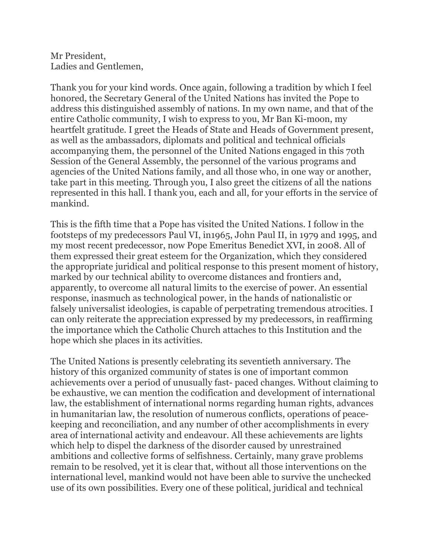Mr President, Ladies and Gentlemen,

Thank you for your kind words. Once again, following a tradition by which I feel honored, the Secretary General of the United Nations has invited the Pope to address this distinguished assembly of nations. In my own name, and that of the entire Catholic community, I wish to express to you, Mr Ban Ki-moon, my heartfelt gratitude. I greet the Heads of State and Heads of Government present, as well as the ambassadors, diplomats and political and technical officials accompanying them, the personnel of the United Nations engaged in this 70th Session of the General Assembly, the personnel of the various programs and agencies of the United Nations family, and all those who, in one way or another, take part in this meeting. Through you, I also greet the citizens of all the nations represented in this hall. I thank you, each and all, for your efforts in the service of mankind.

This is the fifth time that a Pope has visited the United Nations. I follow in the footsteps of my predecessors Paul VI, in1965, John Paul II, in 1979 and 1995, and my most recent predecessor, now Pope Emeritus Benedict XVI, in 2008. All of them expressed their great esteem for the Organization, which they considered the appropriate juridical and political response to this present moment of history, marked by our technical ability to overcome distances and frontiers and, apparently, to overcome all natural limits to the exercise of power. An essential response, inasmuch as technological power, in the hands of nationalistic or falsely universalist ideologies, is capable of perpetrating tremendous atrocities. I can only reiterate the appreciation expressed by my predecessors, in reaffirming the importance which the Catholic Church attaches to this Institution and the hope which she places in its activities.

The United Nations is presently celebrating its seventieth anniversary. The history of this organized community of states is one of important common achievements over a period of unusually fast- paced changes. Without claiming to be exhaustive, we can mention the codification and development of international law, the establishment of international norms regarding human rights, advances in humanitarian law, the resolution of numerous conflicts, operations of peacekeeping and reconciliation, and any number of other accomplishments in every area of international activity and endeavour. All these achievements are lights which help to dispel the darkness of the disorder caused by unrestrained ambitions and collective forms of selfishness. Certainly, many grave problems remain to be resolved, yet it is clear that, without all those interventions on the international level, mankind would not have been able to survive the unchecked use of its own possibilities. Every one of these political, juridical and technical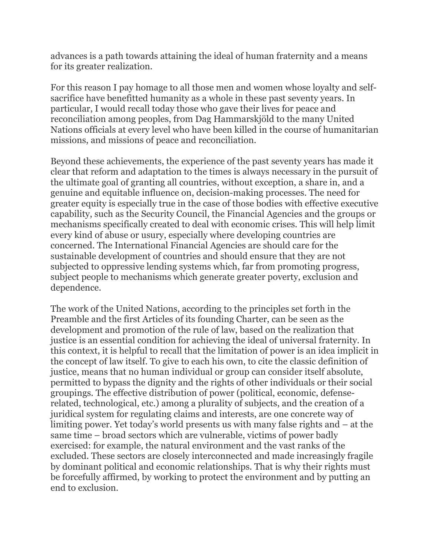advances is a path towards attaining the ideal of human fraternity and a means for its greater realization.

For this reason I pay homage to all those men and women whose loyalty and selfsacrifice have benefitted humanity as a whole in these past seventy years. In particular, I would recall today those who gave their lives for peace and reconciliation among peoples, from Dag Hammarskjöld to the many United Nations officials at every level who have been killed in the course of humanitarian missions, and missions of peace and reconciliation.

Beyond these achievements, the experience of the past seventy years has made it clear that reform and adaptation to the times is always necessary in the pursuit of the ultimate goal of granting all countries, without exception, a share in, and a genuine and equitable influence on, decision-making processes. The need for greater equity is especially true in the case of those bodies with effective executive capability, such as the Security Council, the Financial Agencies and the groups or mechanisms specifically created to deal with economic crises. This will help limit every kind of abuse or usury, especially where developing countries are concerned. The International Financial Agencies are should care for the sustainable development of countries and should ensure that they are not subjected to oppressive lending systems which, far from promoting progress, subject people to mechanisms which generate greater poverty, exclusion and dependence.

The work of the United Nations, according to the principles set forth in the Preamble and the first Articles of its founding Charter, can be seen as the development and promotion of the rule of law, based on the realization that justice is an essential condition for achieving the ideal of universal fraternity. In this context, it is helpful to recall that the limitation of power is an idea implicit in the concept of law itself. To give to each his own, to cite the classic definition of justice, means that no human individual or group can consider itself absolute, permitted to bypass the dignity and the rights of other individuals or their social groupings. The effective distribution of power (political, economic, defenserelated, technological, etc.) among a plurality of subjects, and the creation of a juridical system for regulating claims and interests, are one concrete way of limiting power. Yet today's world presents us with many false rights and – at the same time – broad sectors which are vulnerable, victims of power badly exercised: for example, the natural environment and the vast ranks of the excluded. These sectors are closely interconnected and made increasingly fragile by dominant political and economic relationships. That is why their rights must be forcefully affirmed, by working to protect the environment and by putting an end to exclusion.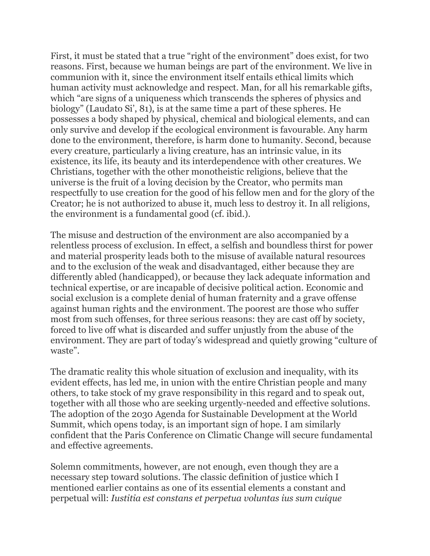First, it must be stated that a true "right of the environment" does exist, for two reasons. First, because we human beings are part of the environment. We live in communion with it, since the environment itself entails ethical limits which human activity must acknowledge and respect. Man, for all his remarkable gifts, which "are signs of a uniqueness which transcends the spheres of physics and biology" (Laudato Si', 81), is at the same time a part of these spheres. He possesses a body shaped by physical, chemical and biological elements, and can only survive and develop if the ecological environment is favourable. Any harm done to the environment, therefore, is harm done to humanity. Second, because every creature, particularly a living creature, has an intrinsic value, in its existence, its life, its beauty and its interdependence with other creatures. We Christians, together with the other monotheistic religions, believe that the universe is the fruit of a loving decision by the Creator, who permits man respectfully to use creation for the good of his fellow men and for the glory of the Creator; he is not authorized to abuse it, much less to destroy it. In all religions, the environment is a fundamental good (cf. ibid.).

The misuse and destruction of the environment are also accompanied by a relentless process of exclusion. In effect, a selfish and boundless thirst for power and material prosperity leads both to the misuse of available natural resources and to the exclusion of the weak and disadvantaged, either because they are differently abled (handicapped), or because they lack adequate information and technical expertise, or are incapable of decisive political action. Economic and social exclusion is a complete denial of human fraternity and a grave offense against human rights and the environment. The poorest are those who suffer most from such offenses, for three serious reasons: they are cast off by society, forced to live off what is discarded and suffer unjustly from the abuse of the environment. They are part of today's widespread and quietly growing "culture of waste".

The dramatic reality this whole situation of exclusion and inequality, with its evident effects, has led me, in union with the entire Christian people and many others, to take stock of my grave responsibility in this regard and to speak out, together with all those who are seeking urgently-needed and effective solutions. The adoption of the 2030 Agenda for Sustainable Development at the World Summit, which opens today, is an important sign of hope. I am similarly confident that the Paris Conference on Climatic Change will secure fundamental and effective agreements.

Solemn commitments, however, are not enough, even though they are a necessary step toward solutions. The classic definition of justice which I mentioned earlier contains as one of its essential elements a constant and perpetual will: *Iustitia est constans et perpetua voluntas ius sum cuique*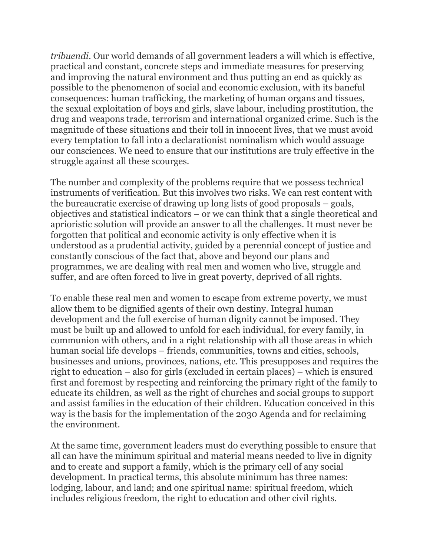*tribuendi*. Our world demands of all government leaders a will which is effective, practical and constant, concrete steps and immediate measures for preserving and improving the natural environment and thus putting an end as quickly as possible to the phenomenon of social and economic exclusion, with its baneful consequences: human trafficking, the marketing of human organs and tissues, the sexual exploitation of boys and girls, slave labour, including prostitution, the drug and weapons trade, terrorism and international organized crime. Such is the magnitude of these situations and their toll in innocent lives, that we must avoid every temptation to fall into a declarationist nominalism which would assuage our consciences. We need to ensure that our institutions are truly effective in the struggle against all these scourges.

The number and complexity of the problems require that we possess technical instruments of verification. But this involves two risks. We can rest content with the bureaucratic exercise of drawing up long lists of good proposals – goals, objectives and statistical indicators – or we can think that a single theoretical and aprioristic solution will provide an answer to all the challenges. It must never be forgotten that political and economic activity is only effective when it is understood as a prudential activity, guided by a perennial concept of justice and constantly conscious of the fact that, above and beyond our plans and programmes, we are dealing with real men and women who live, struggle and suffer, and are often forced to live in great poverty, deprived of all rights.

To enable these real men and women to escape from extreme poverty, we must allow them to be dignified agents of their own destiny. Integral human development and the full exercise of human dignity cannot be imposed. They must be built up and allowed to unfold for each individual, for every family, in communion with others, and in a right relationship with all those areas in which human social life develops – friends, communities, towns and cities, schools, businesses and unions, provinces, nations, etc. This presupposes and requires the right to education – also for girls (excluded in certain places) – which is ensured first and foremost by respecting and reinforcing the primary right of the family to educate its children, as well as the right of churches and social groups to support and assist families in the education of their children. Education conceived in this way is the basis for the implementation of the 2030 Agenda and for reclaiming the environment.

At the same time, government leaders must do everything possible to ensure that all can have the minimum spiritual and material means needed to live in dignity and to create and support a family, which is the primary cell of any social development. In practical terms, this absolute minimum has three names: lodging, labour, and land; and one spiritual name: spiritual freedom, which includes religious freedom, the right to education and other civil rights.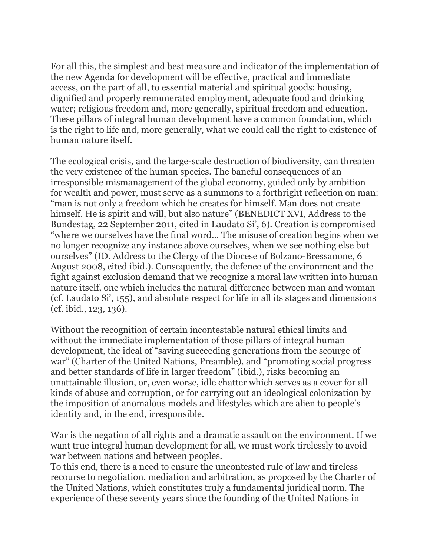For all this, the simplest and best measure and indicator of the implementation of the new Agenda for development will be effective, practical and immediate access, on the part of all, to essential material and spiritual goods: housing, dignified and properly remunerated employment, adequate food and drinking water; religious freedom and, more generally, spiritual freedom and education. These pillars of integral human development have a common foundation, which is the right to life and, more generally, what we could call the right to existence of human nature itself.

The ecological crisis, and the large-scale destruction of biodiversity, can threaten the very existence of the human species. The baneful consequences of an irresponsible mismanagement of the global economy, guided only by ambition for wealth and power, must serve as a summons to a forthright reflection on man: "man is not only a freedom which he creates for himself. Man does not create himself. He is spirit and will, but also nature" (BENEDICT XVI, Address to the Bundestag, 22 September 2011, cited in Laudato Si', 6). Creation is compromised "where we ourselves have the final word... The misuse of creation begins when we no longer recognize any instance above ourselves, when we see nothing else but ourselves" (ID. Address to the Clergy of the Diocese of Bolzano-Bressanone, 6 August 2008, cited ibid.). Consequently, the defence of the environment and the fight against exclusion demand that we recognize a moral law written into human nature itself, one which includes the natural difference between man and woman (cf. Laudato Si', 155), and absolute respect for life in all its stages and dimensions (cf. ibid., 123, 136).

Without the recognition of certain incontestable natural ethical limits and without the immediate implementation of those pillars of integral human development, the ideal of "saving succeeding generations from the scourge of war" (Charter of the United Nations, Preamble), and "promoting social progress and better standards of life in larger freedom" (ibid.), risks becoming an unattainable illusion, or, even worse, idle chatter which serves as a cover for all kinds of abuse and corruption, or for carrying out an ideological colonization by the imposition of anomalous models and lifestyles which are alien to people's identity and, in the end, irresponsible.

War is the negation of all rights and a dramatic assault on the environment. If we want true integral human development for all, we must work tirelessly to avoid war between nations and between peoples.

To this end, there is a need to ensure the uncontested rule of law and tireless recourse to negotiation, mediation and arbitration, as proposed by the Charter of the United Nations, which constitutes truly a fundamental juridical norm. The experience of these seventy years since the founding of the United Nations in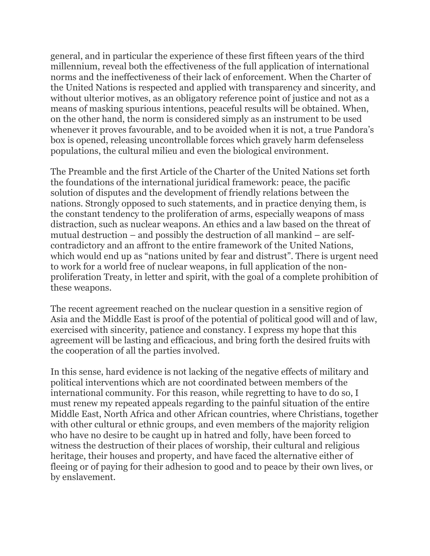general, and in particular the experience of these first fifteen years of the third millennium, reveal both the effectiveness of the full application of international norms and the ineffectiveness of their lack of enforcement. When the Charter of the United Nations is respected and applied with transparency and sincerity, and without ulterior motives, as an obligatory reference point of justice and not as a means of masking spurious intentions, peaceful results will be obtained. When, on the other hand, the norm is considered simply as an instrument to be used whenever it proves favourable, and to be avoided when it is not, a true Pandora's box is opened, releasing uncontrollable forces which gravely harm defenseless populations, the cultural milieu and even the biological environment.

The Preamble and the first Article of the Charter of the United Nations set forth the foundations of the international juridical framework: peace, the pacific solution of disputes and the development of friendly relations between the nations. Strongly opposed to such statements, and in practice denying them, is the constant tendency to the proliferation of arms, especially weapons of mass distraction, such as nuclear weapons. An ethics and a law based on the threat of mutual destruction – and possibly the destruction of all mankind – are selfcontradictory and an affront to the entire framework of the United Nations, which would end up as "nations united by fear and distrust". There is urgent need to work for a world free of nuclear weapons, in full application of the nonproliferation Treaty, in letter and spirit, with the goal of a complete prohibition of these weapons.

The recent agreement reached on the nuclear question in a sensitive region of Asia and the Middle East is proof of the potential of political good will and of law, exercised with sincerity, patience and constancy. I express my hope that this agreement will be lasting and efficacious, and bring forth the desired fruits with the cooperation of all the parties involved.

In this sense, hard evidence is not lacking of the negative effects of military and political interventions which are not coordinated between members of the international community. For this reason, while regretting to have to do so, I must renew my repeated appeals regarding to the painful situation of the entire Middle East, North Africa and other African countries, where Christians, together with other cultural or ethnic groups, and even members of the majority religion who have no desire to be caught up in hatred and folly, have been forced to witness the destruction of their places of worship, their cultural and religious heritage, their houses and property, and have faced the alternative either of fleeing or of paying for their adhesion to good and to peace by their own lives, or by enslavement.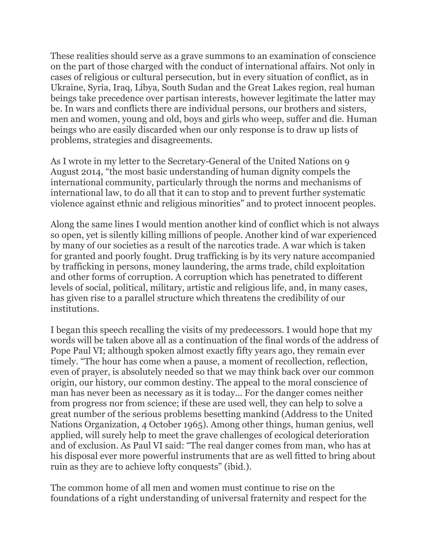These realities should serve as a grave summons to an examination of conscience on the part of those charged with the conduct of international affairs. Not only in cases of religious or cultural persecution, but in every situation of conflict, as in Ukraine, Syria, Iraq, Libya, South Sudan and the Great Lakes region, real human beings take precedence over partisan interests, however legitimate the latter may be. In wars and conflicts there are individual persons, our brothers and sisters, men and women, young and old, boys and girls who weep, suffer and die. Human beings who are easily discarded when our only response is to draw up lists of problems, strategies and disagreements.

As I wrote in my letter to the Secretary-General of the United Nations on 9 August 2014, "the most basic understanding of human dignity compels the international community, particularly through the norms and mechanisms of international law, to do all that it can to stop and to prevent further systematic violence against ethnic and religious minorities" and to protect innocent peoples.

Along the same lines I would mention another kind of conflict which is not always so open, yet is silently killing millions of people. Another kind of war experienced by many of our societies as a result of the narcotics trade. A war which is taken for granted and poorly fought. Drug trafficking is by its very nature accompanied by trafficking in persons, money laundering, the arms trade, child exploitation and other forms of corruption. A corruption which has penetrated to different levels of social, political, military, artistic and religious life, and, in many cases, has given rise to a parallel structure which threatens the credibility of our institutions.

I began this speech recalling the visits of my predecessors. I would hope that my words will be taken above all as a continuation of the final words of the address of Pope Paul VI; although spoken almost exactly fifty years ago, they remain ever timely. "The hour has come when a pause, a moment of recollection, reflection, even of prayer, is absolutely needed so that we may think back over our common origin, our history, our common destiny. The appeal to the moral conscience of man has never been as necessary as it is today... For the danger comes neither from progress nor from science; if these are used well, they can help to solve a great number of the serious problems besetting mankind (Address to the United Nations Organization, 4 October 1965). Among other things, human genius, well applied, will surely help to meet the grave challenges of ecological deterioration and of exclusion. As Paul VI said: "The real danger comes from man, who has at his disposal ever more powerful instruments that are as well fitted to bring about ruin as they are to achieve lofty conquests" (ibid.).

The common home of all men and women must continue to rise on the foundations of a right understanding of universal fraternity and respect for the